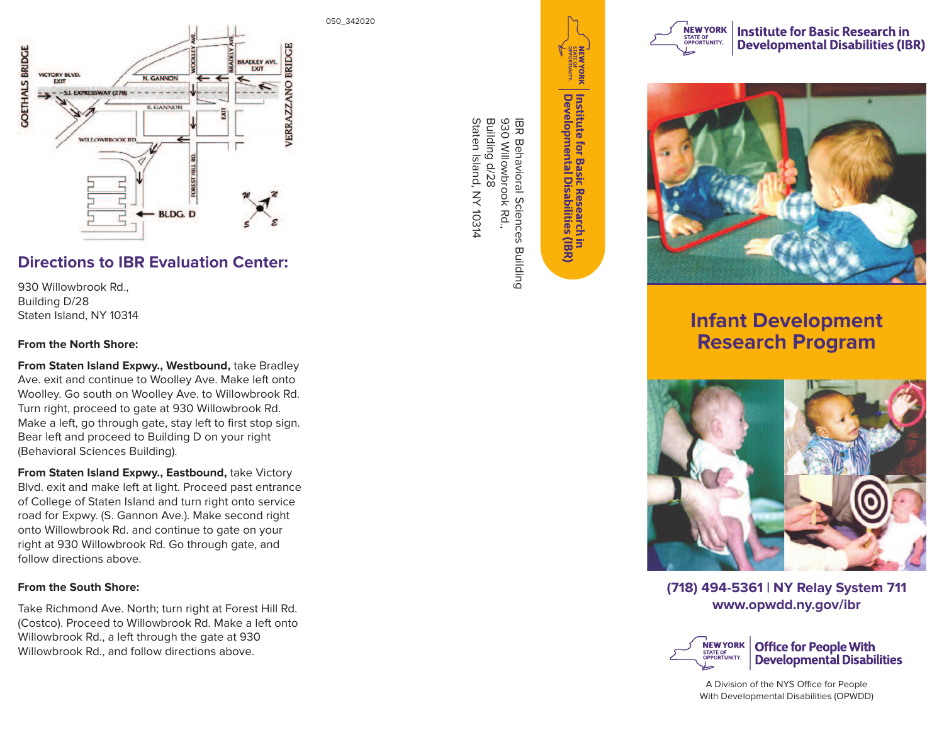

# **Directions to IBR Evaluation Center:**

930 Willowbrook Rd., Building D/28 Staten Island, NY 10314

### **From the North Shore:**

**From Staten Island Expwy., Westbound,** take Bradley Ave. exit and continue to Woolley Ave. Make left onto Woolley. Go south on Woolley Ave. to Willowbrook Rd. Turn right, proceed to gate at 930 Willowbrook Rd. Make a left, go through gate, stay left to first stop sign. Bear left and proceed to Building D on your right (Behavioral Sciences Building).

**From Staten Island Expwy., Eastbound,** take Victory Blvd. exit and make left at light. Proceed past entrance of College of Staten Island and turn right onto service road for Expwy. (S. Gannon Ave.). Make second right onto Willowbrook Rd. and continue to gate on your right at 930 Willowbrook Rd. Go through gate, and follow directions above.

## **From the South Shore:**

Take Richmond Ave. North; turn right at Forest Hill Rd. (Costco). Proceed to Willowbrook Rd. Make a left onto Willowbrook Rd., a left through the gate at 930 Willowbrook Rd., and follow directions above.

050\_342020

司<br>戈  $\varpi$ ehavioral Sciences Building 9 3 0 Willo w a<br>B o<br>⊼ R d., Building d/2 8 Staten Island, N Y ਠੋ ب<br>44



**Institute for Basic Research<br>Developmental Disabilities** hin<br>s (IBR)



**Institute for Basic Research in Developmental Disabilities (IBR)** 



**Infant Development Research Program**



**(718) 494-5361 | NY Relay System 711 www.opwdd.ny.gov/ibr**



A Division of the NYS Office for People With Developmental Disabilities (OPWDD)